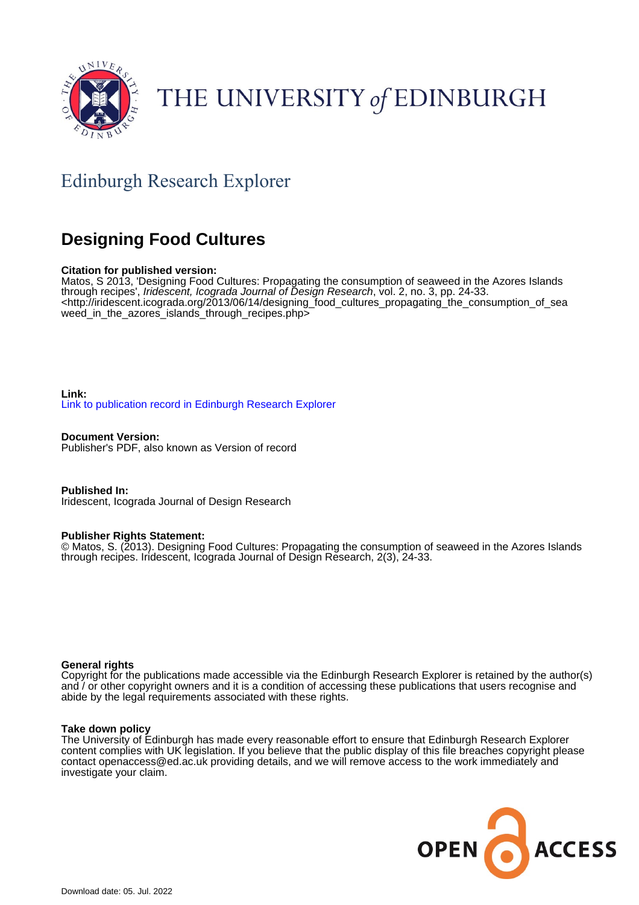

# THE UNIVERSITY of EDINBURGH

## Edinburgh Research Explorer

### **Designing Food Cultures**

#### **Citation for published version:**

Matos, S 2013, 'Designing Food Cultures: Propagating the consumption of seaweed in the Azores Islands through recipes', Iridescent, Icograda Journal of Design Research, vol. 2, no. 3, pp. 24-33. <[http://iridescent.icograda.org/2013/06/14/designing\\_food\\_cultures\\_propagating\\_the\\_consumption\\_of\\_sea](http://iridescent.icograda.org/2013/06/14/designing_food_cultures_propagating_the_consumption_of_seaweed_in_the_azores_islands_through_recipes.php) weed in the azores islands through recipes.php>

#### **Link:** [Link to publication record in Edinburgh Research Explorer](https://www.research.ed.ac.uk/en/publications/8a653100-322a-4cd2-a8be-1b43237df9b6)

**Document Version:** Publisher's PDF, also known as Version of record

**Published In:** Iridescent, Icograda Journal of Design Research

#### **Publisher Rights Statement:**

© Matos, S. (2013). Designing Food Cultures: Propagating the consumption of seaweed in the Azores Islands through recipes. Iridescent, Icograda Journal of Design Research, 2(3), 24-33.

#### **General rights**

Copyright for the publications made accessible via the Edinburgh Research Explorer is retained by the author(s) and / or other copyright owners and it is a condition of accessing these publications that users recognise and abide by the legal requirements associated with these rights.

#### **Take down policy**

The University of Edinburgh has made every reasonable effort to ensure that Edinburgh Research Explorer content complies with UK legislation. If you believe that the public display of this file breaches copyright please contact openaccess@ed.ac.uk providing details, and we will remove access to the work immediately and investigate your claim.

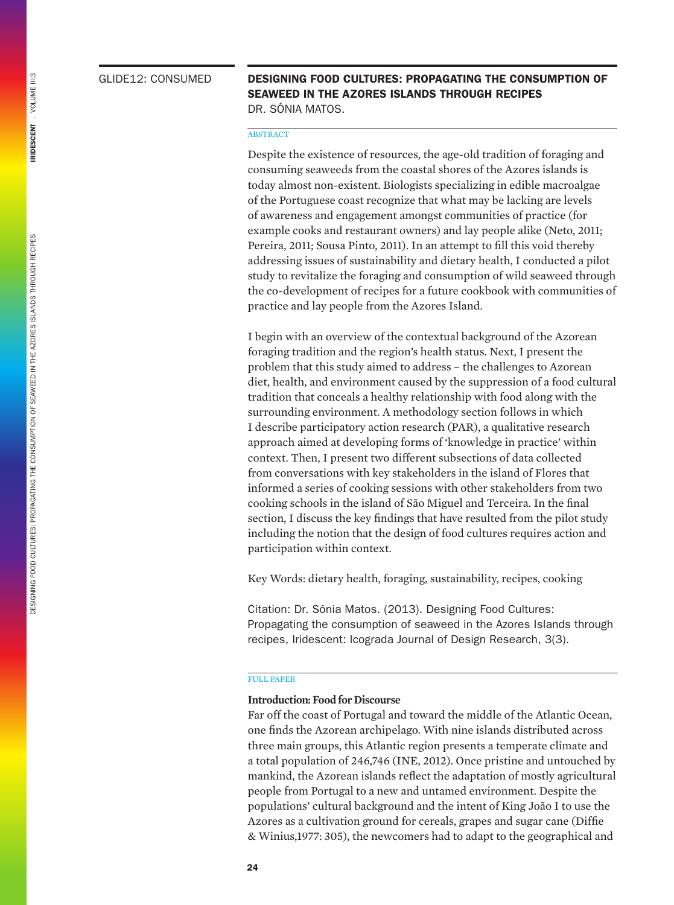#### GLIDE12: CONSUMED

### DESIGNING FOOD CULTURES: PROPAGATING THE CONSUMPTION OF SEAWEED IN THE AZORES ISLANDS THROUGH RECIPES

DR. SÓNIA MATOS.

#### ABSTRACT

Despite the existence of resources, the age-old tradition of foraging and consuming seaweeds from the coastal shores of the Azores islands is today almost non-existent. Biologists specializing in edible macroalgae of the Portuguese coast recognize that what may be lacking are levels of awareness and engagement amongst communities of practice (for example cooks and restaurant owners) and lay people alike (Neto, 2011; Pereira, 2011; Sousa Pinto, 2011). In an attempt to fill this void thereby addressing issues of sustainability and dietary health, I conducted a pilot study to revitalize the foraging and consumption of wild seaweed through the co-development of recipes for a future cookbook with communities of practice and lay people from the Azores Island.

I begin with an overview of the contextual background of the Azorean foraging tradition and the region's health status. Next, I present the problem that this study aimed to address – the challenges to Azorean diet, health, and environment caused by the suppression of a food cultural tradition that conceals a healthy relationship with food along with the surrounding environment. A methodology section follows in which I describe participatory action research (PAR), a qualitative research approach aimed at developing forms of 'knowledge in practice' within context. Then, I present two different subsections of data collected from conversations with key stakeholders in the island of Flores that informed a series of cooking sessions with other stakeholders from two cooking schools in the island of São Miguel and Terceira. In the final section, I discuss the key findings that have resulted from the pilot study including the notion that the design of food cultures requires action and participation within context.

Key Words: dietary health, foraging, sustainability, recipes, cooking

Citation: Dr. Sónia Matos. (2013). Designing Food Cultures: Propagating the consumption of seaweed in the Azores Islands through recipes, Iridescent: Icograda Journal of Design Research, 3(3).

#### FULL PAPER

#### **Introduction: Food for Discourse**

Far off the coast of Portugal and toward the middle of the Atlantic Ocean, one finds the Azorean archipelago. With nine islands distributed across three main groups, this Atlantic region presents a temperate climate and a total population of 246,746 (INE, 2012). Once pristine and untouched by mankind, the Azorean islands reflect the adaptation of mostly agricultural people from Portugal to a new and untamed environment. Despite the populations' cultural background and the intent of King João I to use the Azores as a cultivation ground for cereals, grapes and sugar cane (Diffie & Winius,1977: 305), the newcomers had to adapt to the geographical and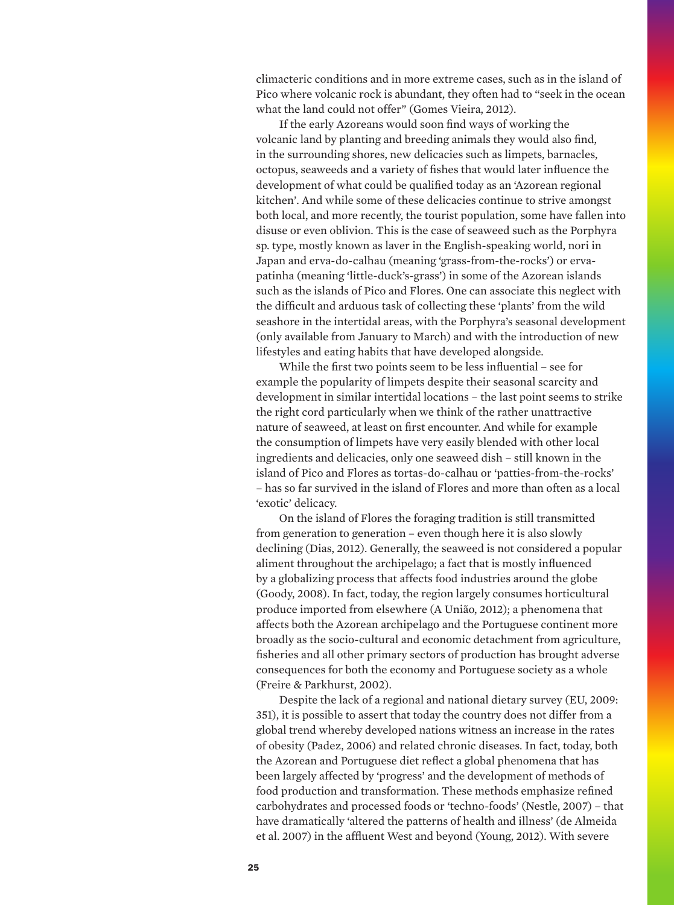climacteric conditions and in more extreme cases, such as in the island of Pico where volcanic rock is abundant, they often had to "seek in the ocean what the land could not offer" (Gomes Vieira, 2012).

If the early Azoreans would soon find ways of working the volcanic land by planting and breeding animals they would also find, in the surrounding shores, new delicacies such as limpets, barnacles, octopus, seaweeds and a variety of fishes that would later influence the development of what could be qualified today as an 'Azorean regional kitchen'. And while some of these delicacies continue to strive amongst both local, and more recently, the tourist population, some have fallen into disuse or even oblivion. This is the case of seaweed such as the Porphyra sp. type, mostly known as laver in the English-speaking world, nori in Japan and erva-do-calhau (meaning 'grass-from-the-rocks') or ervapatinha (meaning 'little-duck's-grass') in some of the Azorean islands such as the islands of Pico and Flores. One can associate this neglect with the difficult and arduous task of collecting these 'plants' from the wild seashore in the intertidal areas, with the Porphyra's seasonal development (only available from January to March) and with the introduction of new lifestyles and eating habits that have developed alongside.

While the first two points seem to be less influential – see for example the popularity of limpets despite their seasonal scarcity and development in similar intertidal locations – the last point seems to strike the right cord particularly when we think of the rather unattractive nature of seaweed, at least on first encounter. And while for example the consumption of limpets have very easily blended with other local ingredients and delicacies, only one seaweed dish – still known in the island of Pico and Flores as tortas-do-calhau or 'patties-from-the-rocks' – has so far survived in the island of Flores and more than often as a local 'exotic' delicacy.

On the island of Flores the foraging tradition is still transmitted from generation to generation – even though here it is also slowly declining (Dias, 2012). Generally, the seaweed is not considered a popular aliment throughout the archipelago; a fact that is mostly influenced by a globalizing process that affects food industries around the globe (Goody, 2008). In fact, today, the region largely consumes horticultural produce imported from elsewhere (A União, 2012); a phenomena that affects both the Azorean archipelago and the Portuguese continent more broadly as the socio-cultural and economic detachment from agriculture, fisheries and all other primary sectors of production has brought adverse consequences for both the economy and Portuguese society as a whole (Freire & Parkhurst, 2002).

Despite the lack of a regional and national dietary survey (EU, 2009: 351), it is possible to assert that today the country does not differ from a global trend whereby developed nations witness an increase in the rates of obesity (Padez, 2006) and related chronic diseases. In fact, today, both the Azorean and Portuguese diet reflect a global phenomena that has been largely affected by 'progress' and the development of methods of food production and transformation. These methods emphasize refined carbohydrates and processed foods or 'techno-foods' (Nestle, 2007) – that have dramatically 'altered the patterns of health and illness' (de Almeida et al. 2007) in the affluent West and beyond (Young, 2012). With severe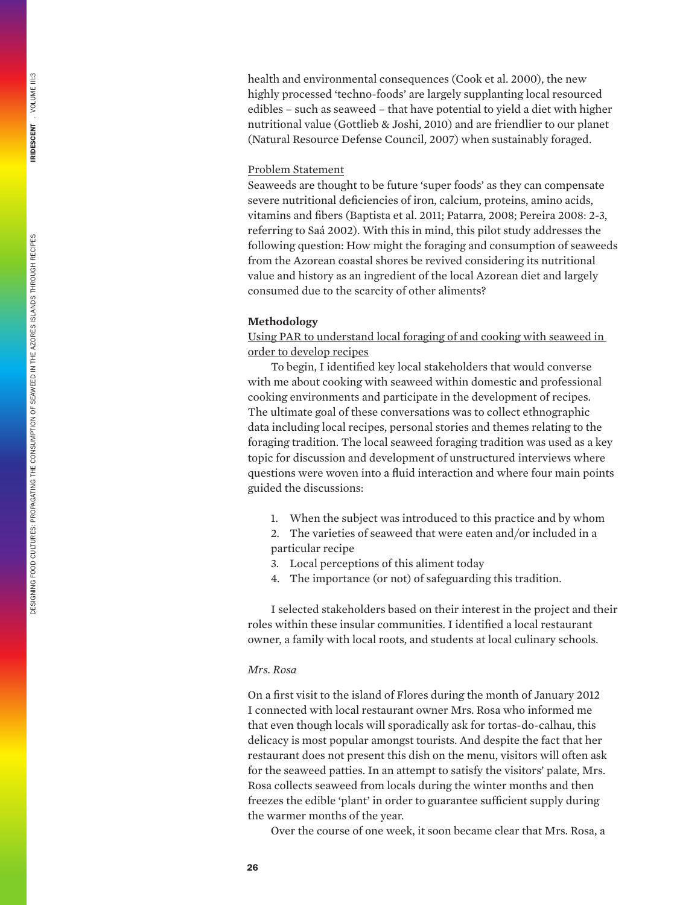health and environmental consequences (Cook et al. 2000), the new highly processed 'techno-foods' are largely supplanting local resourced edibles – such as seaweed – that have potential to yield a diet with higher nutritional value (Gottlieb & Joshi, 2010) and are friendlier to our planet (Natural Resource Defense Council, 2007) when sustainably foraged.

#### Problem Statement

Seaweeds are thought to be future 'super foods' as they can compensate severe nutritional deficiencies of iron, calcium, proteins, amino acids, vitamins and fibers (Baptista et al. 2011; Patarra, 2008; Pereira 2008: 2-3, referring to Saá 2002). With this in mind, this pilot study addresses the following question: How might the foraging and consumption of seaweeds from the Azorean coastal shores be revived considering its nutritional value and history as an ingredient of the local Azorean diet and largely consumed due to the scarcity of other aliments?

#### **Methodology**

Using PAR to understand local foraging of and cooking with seaweed in order to develop recipes

To begin, I identified key local stakeholders that would converse with me about cooking with seaweed within domestic and professional cooking environments and participate in the development of recipes. The ultimate goal of these conversations was to collect ethnographic data including local recipes, personal stories and themes relating to the foraging tradition. The local seaweed foraging tradition was used as a key topic for discussion and development of unstructured interviews where questions were woven into a fluid interaction and where four main points guided the discussions:

1. When the subject was introduced to this practice and by whom

2. The varieties of seaweed that were eaten and/or included in a particular recipe

- 3. Local perceptions of this aliment today
- 4. The importance (or not) of safeguarding this tradition.

I selected stakeholders based on their interest in the project and their roles within these insular communities. I identified a local restaurant owner, a family with local roots, and students at local culinary schools.

#### *Mrs. Rosa*

On a first visit to the island of Flores during the month of January 2012 I connected with local restaurant owner Mrs. Rosa who informed me that even though locals will sporadically ask for tortas-do-calhau, this delicacy is most popular amongst tourists. And despite the fact that her restaurant does not present this dish on the menu, visitors will often ask for the seaweed patties. In an attempt to satisfy the visitors' palate, Mrs. Rosa collects seaweed from locals during the winter months and then freezes the edible 'plant' in order to guarantee sufficient supply during the warmer months of the year.

Over the course of one week, it soon became clear that Mrs. Rosa, a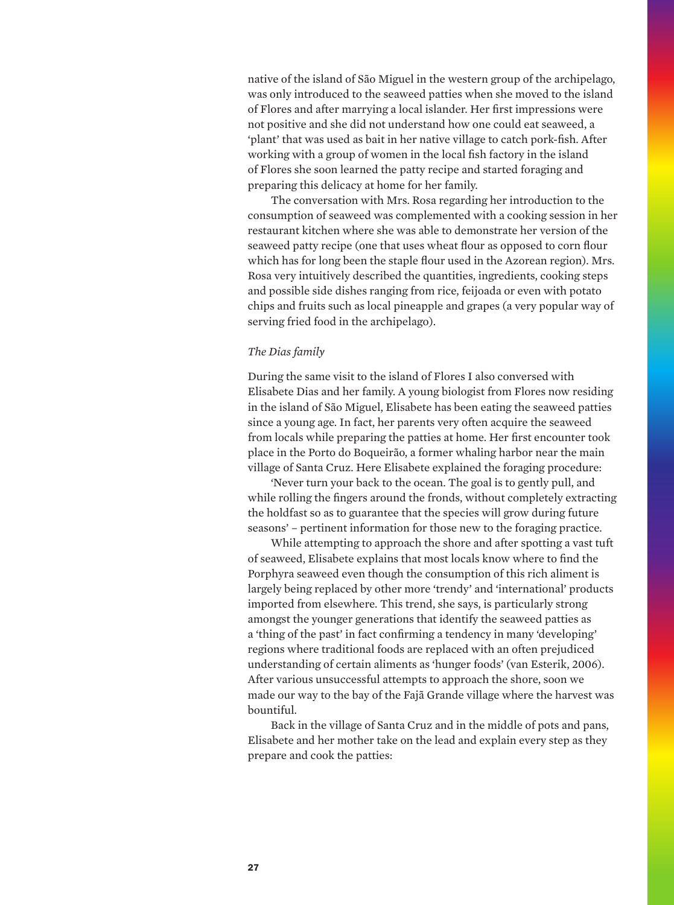native of the island of São Miguel in the western group of the archipelago, was only introduced to the seaweed patties when she moved to the island of Flores and after marrying a local islander. Her first impressions were not positive and she did not understand how one could eat seaweed, a 'plant' that was used as bait in her native village to catch pork-fish. After working with a group of women in the local fish factory in the island of Flores she soon learned the patty recipe and started foraging and preparing this delicacy at home for her family.

The conversation with Mrs. Rosa regarding her introduction to the consumption of seaweed was complemented with a cooking session in her restaurant kitchen where she was able to demonstrate her version of the seaweed patty recipe (one that uses wheat flour as opposed to corn flour which has for long been the staple flour used in the Azorean region). Mrs. Rosa very intuitively described the quantities, ingredients, cooking steps and possible side dishes ranging from rice, feijoada or even with potato chips and fruits such as local pineapple and grapes (a very popular way of serving fried food in the archipelago).

#### *The Dias family*

During the same visit to the island of Flores I also conversed with Elisabete Dias and her family. A young biologist from Flores now residing in the island of São Miguel, Elisabete has been eating the seaweed patties since a young age. In fact, her parents very often acquire the seaweed from locals while preparing the patties at home. Her first encounter took place in the Porto do Boqueirão, a former whaling harbor near the main village of Santa Cruz. Here Elisabete explained the foraging procedure:

'Never turn your back to the ocean. The goal is to gently pull, and while rolling the fingers around the fronds, without completely extracting the holdfast so as to guarantee that the species will grow during future seasons' – pertinent information for those new to the foraging practice.

While attempting to approach the shore and after spotting a vast tuft of seaweed, Elisabete explains that most locals know where to find the Porphyra seaweed even though the consumption of this rich aliment is largely being replaced by other more 'trendy' and 'international' products imported from elsewhere. This trend, she says, is particularly strong amongst the younger generations that identify the seaweed patties as a 'thing of the past' in fact confirming a tendency in many 'developing' regions where traditional foods are replaced with an often prejudiced understanding of certain aliments as 'hunger foods' (van Esterik, 2006). After various unsuccessful attempts to approach the shore, soon we made our way to the bay of the Fajã Grande village where the harvest was bountiful.

Back in the village of Santa Cruz and in the middle of pots and pans, Elisabete and her mother take on the lead and explain every step as they prepare and cook the patties: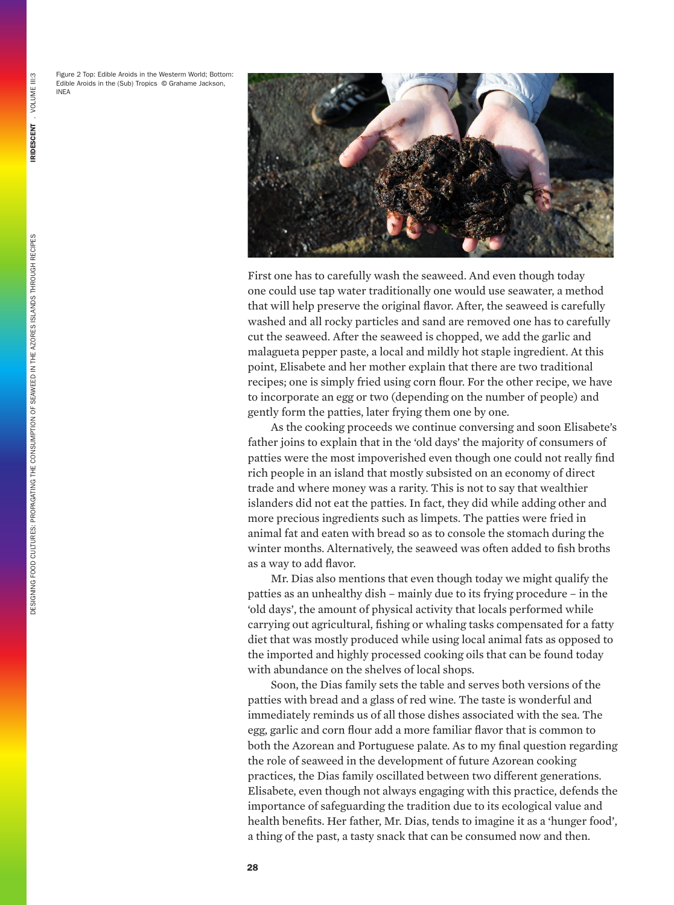Figure 2 Top: Edible Aroids in the Westerm World; Bottom: Edible Aroids in the (Sub) Tropics © Grahame Jackson, INEA



First one has to carefully wash the seaweed. And even though today one could use tap water traditionally one would use seawater, a method that will help preserve the original flavor. After, the seaweed is carefully washed and all rocky particles and sand are removed one has to carefully cut the seaweed. After the seaweed is chopped, we add the garlic and malagueta pepper paste, a local and mildly hot staple ingredient. At this point, Elisabete and her mother explain that there are two traditional recipes; one is simply fried using corn flour. For the other recipe, we have to incorporate an egg or two (depending on the number of people) and gently form the patties, later frying them one by one.

As the cooking proceeds we continue conversing and soon Elisabete's father joins to explain that in the 'old days' the majority of consumers of patties were the most impoverished even though one could not really find rich people in an island that mostly subsisted on an economy of direct trade and where money was a rarity. This is not to say that wealthier islanders did not eat the patties. In fact, they did while adding other and more precious ingredients such as limpets. The patties were fried in animal fat and eaten with bread so as to console the stomach during the winter months. Alternatively, the seaweed was often added to fish broths as a way to add flavor.

Mr. Dias also mentions that even though today we might qualify the patties as an unhealthy dish – mainly due to its frying procedure – in the 'old days', the amount of physical activity that locals performed while carrying out agricultural, fishing or whaling tasks compensated for a fatty diet that was mostly produced while using local animal fats as opposed to the imported and highly processed cooking oils that can be found today with abundance on the shelves of local shops.

Soon, the Dias family sets the table and serves both versions of the patties with bread and a glass of red wine. The taste is wonderful and immediately reminds us of all those dishes associated with the sea. The egg, garlic and corn flour add a more familiar flavor that is common to both the Azorean and Portuguese palate. As to my final question regarding the role of seaweed in the development of future Azorean cooking practices, the Dias family oscillated between two different generations. Elisabete, even though not always engaging with this practice, defends the importance of safeguarding the tradition due to its ecological value and health benefits. Her father, Mr. Dias, tends to imagine it as a 'hunger food', a thing of the past, a tasty snack that can be consumed now and then.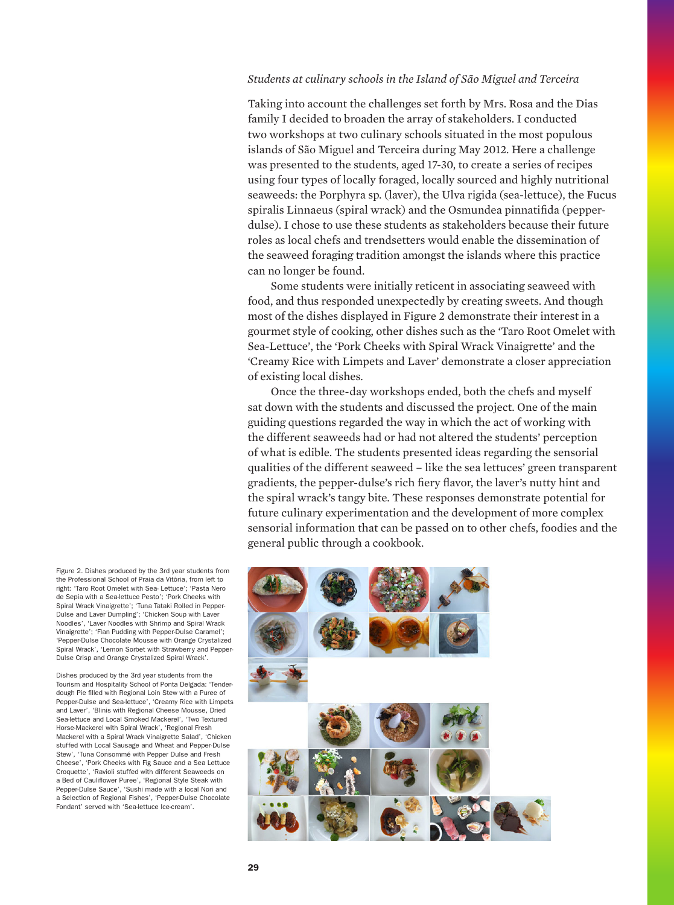#### *Students at culinary schools in the Island of São Miguel and Terceira*

Taking into account the challenges set forth by Mrs. Rosa and the Dias family I decided to broaden the array of stakeholders. I conducted two workshops at two culinary schools situated in the most populous islands of São Miguel and Terceira during May 2012. Here a challenge was presented to the students, aged 17-30, to create a series of recipes using four types of locally foraged, locally sourced and highly nutritional seaweeds: the Porphyra sp. (laver), the Ulva rigida (sea-lettuce), the Fucus spiralis Linnaeus (spiral wrack) and the Osmundea pinnatifida (pepperdulse). I chose to use these students as stakeholders because their future roles as local chefs and trendsetters would enable the dissemination of the seaweed foraging tradition amongst the islands where this practice can no longer be found.

Some students were initially reticent in associating seaweed with food, and thus responded unexpectedly by creating sweets. And though most of the dishes displayed in Figure 2 demonstrate their interest in a gourmet style of cooking, other dishes such as the 'Taro Root Omelet with Sea-Lettuce', the 'Pork Cheeks with Spiral Wrack Vinaigrette' and the 'Creamy Rice with Limpets and Laver' demonstrate a closer appreciation of existing local dishes.

Once the three-day workshops ended, both the chefs and myself sat down with the students and discussed the project. One of the main guiding questions regarded the way in which the act of working with the different seaweeds had or had not altered the students' perception of what is edible. The students presented ideas regarding the sensorial qualities of the different seaweed – like the sea lettuces' green transparent gradients, the pepper-dulse's rich fiery flavor, the laver's nutty hint and the spiral wrack's tangy bite. These responses demonstrate potential for future culinary experimentation and the development of more complex sensorial information that can be passed on to other chefs, foodies and the general public through a cookbook.



Figure 2. Dishes produced by the 3rd year students from the Professional School of Praia da Vitória, from left to right: 'Taro Root Omelet with Sea- Lettuce'; 'Pasta Nero de Sepia with a Sea-lettuce Pesto'; 'Pork Cheeks with Spiral Wrack Vinaigrette'; 'Tuna Tataki Rolled in Pepper-Dulse and Laver Dumpling'; 'Chicken Soup with Laver Noodles', 'Laver Noodles with Shrimp and Spiral Wrack Vinaigrette'; 'Flan Pudding with Pepper-Dulse Caramel'; 'Pepper-Dulse Chocolate Mousse with Orange Crystalized Spiral Wrack', 'Lemon Sorbet with Strawberry and Pepper-Dulse Crisp and Orange Crystalized Spiral Wrack'.

Dishes produced by the 3rd year students from the Tourism and Hospitality School of Ponta Delgada: 'Tenderdough Pie filled with Regional Loin Stew with a Puree of Pepper-Dulse and Sea-lettuce', 'Creamy Rice with Limpets and Laver', 'Blinis with Regional Cheese Mousse, Dried Sea-lettuce and Local Smoked Mackerel', 'Two Textured Horse-Mackerel with Spiral Wrack', 'Regional Fresh Mackerel with a Spiral Wrack Vinaigrette Salad', 'Chicken stuffed with Local Sausage and Wheat and Pepper-Dulse Stew', 'Tuna Consommé with Pepper Dulse and Fresh Cheese', 'Pork Cheeks with Fig Sauce and a Sea Lettuce Croquette', 'Ravioli stuffed with different Seaweeds on a Bed of Cauliflower Puree', 'Regional Style Steak with Pepper-Dulse Sauce', 'Sushi made with a local Nori and a Selection of Regional Fishes', 'Pepper-Dulse Chocolate Fondant' served with 'Sea-lettuce Ice-cream'.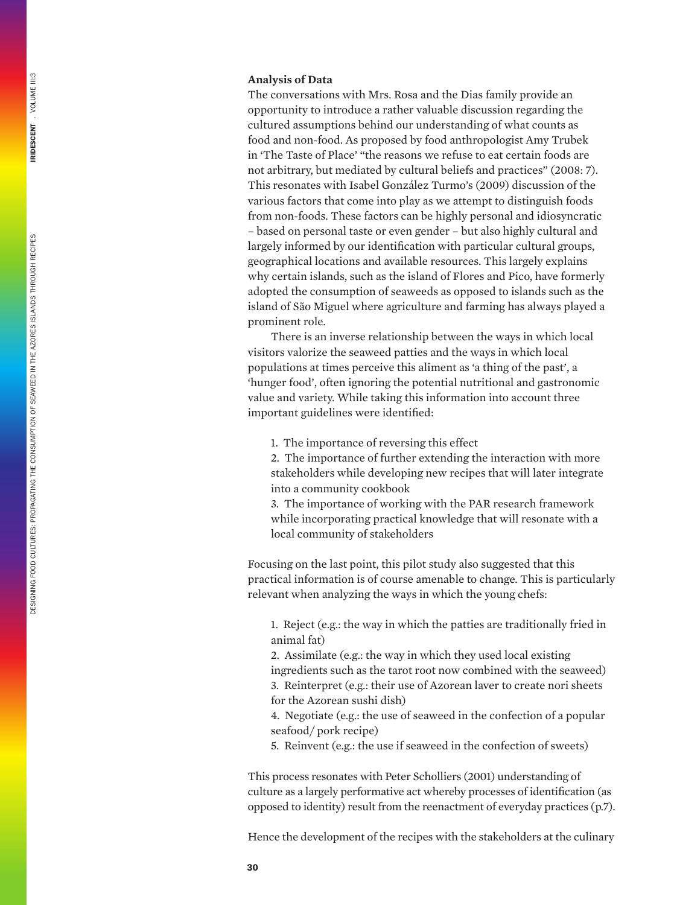#### **Analysis of Data**

The conversations with Mrs. Rosa and the Dias family provide an opportunity to introduce a rather valuable discussion regarding the cultured assumptions behind our understanding of what counts as food and non-food. As proposed by food anthropologist Amy Trubek in 'The Taste of Place' "the reasons we refuse to eat certain foods are not arbitrary, but mediated by cultural beliefs and practices" (2008: 7). This resonates with Isabel González Turmo's (2009) discussion of the various factors that come into play as we attempt to distinguish foods from non-foods. These factors can be highly personal and idiosyncratic – based on personal taste or even gender – but also highly cultural and largely informed by our identification with particular cultural groups, geographical locations and available resources. This largely explains why certain islands, such as the island of Flores and Pico, have formerly adopted the consumption of seaweeds as opposed to islands such as the island of São Miguel where agriculture and farming has always played a prominent role.

There is an inverse relationship between the ways in which local visitors valorize the seaweed patties and the ways in which local populations at times perceive this aliment as 'a thing of the past', a 'hunger food', often ignoring the potential nutritional and gastronomic value and variety. While taking this information into account three important guidelines were identified:

1. The importance of reversing this effect

2. The importance of further extending the interaction with more stakeholders while developing new recipes that will later integrate into a community cookbook

3. The importance of working with the PAR research framework while incorporating practical knowledge that will resonate with a local community of stakeholders

Focusing on the last point, this pilot study also suggested that this practical information is of course amenable to change. This is particularly relevant when analyzing the ways in which the young chefs:

1. Reject (e.g.: the way in which the patties are traditionally fried in animal fat)

2. Assimilate (e.g.: the way in which they used local existing ingredients such as the tarot root now combined with the seaweed)

3. Reinterpret (e.g.: their use of Azorean laver to create nori sheets for the Azorean sushi dish)

4. Negotiate (e.g.: the use of seaweed in the confection of a popular seafood/ pork recipe)

5. Reinvent (e.g.: the use if seaweed in the confection of sweets)

This process resonates with Peter Scholliers (2001) understanding of culture as a largely performative act whereby processes of identification (as opposed to identity) result from the reenactment of everyday practices (p.7).

Hence the development of the recipes with the stakeholders at the culinary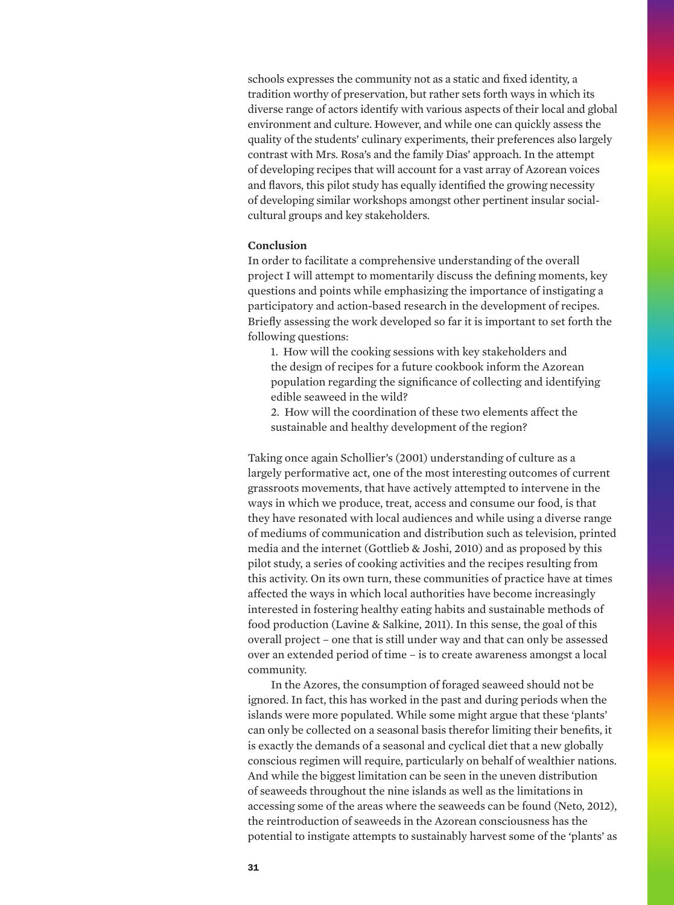schools expresses the community not as a static and fixed identity, a tradition worthy of preservation, but rather sets forth ways in which its diverse range of actors identify with various aspects of their local and global environment and culture. However, and while one can quickly assess the quality of the students' culinary experiments, their preferences also largely contrast with Mrs. Rosa's and the family Dias' approach. In the attempt of developing recipes that will account for a vast array of Azorean voices and flavors, this pilot study has equally identified the growing necessity of developing similar workshops amongst other pertinent insular socialcultural groups and key stakeholders.

#### **Conclusion**

In order to facilitate a comprehensive understanding of the overall project I will attempt to momentarily discuss the defining moments, key questions and points while emphasizing the importance of instigating a participatory and action-based research in the development of recipes. Briefly assessing the work developed so far it is important to set forth the following questions:

- 1. How will the cooking sessions with key stakeholders and the design of recipes for a future cookbook inform the Azorean population regarding the significance of collecting and identifying edible seaweed in the wild?
- 2. How will the coordination of these two elements affect the sustainable and healthy development of the region?

Taking once again Schollier's (2001) understanding of culture as a largely performative act, one of the most interesting outcomes of current grassroots movements, that have actively attempted to intervene in the ways in which we produce, treat, access and consume our food, is that they have resonated with local audiences and while using a diverse range of mediums of communication and distribution such as television, printed media and the internet (Gottlieb & Joshi, 2010) and as proposed by this pilot study, a series of cooking activities and the recipes resulting from this activity. On its own turn, these communities of practice have at times affected the ways in which local authorities have become increasingly interested in fostering healthy eating habits and sustainable methods of food production (Lavine & Salkine, 2011). In this sense, the goal of this overall project – one that is still under way and that can only be assessed over an extended period of time – is to create awareness amongst a local community.

In the Azores, the consumption of foraged seaweed should not be ignored. In fact, this has worked in the past and during periods when the islands were more populated. While some might argue that these 'plants' can only be collected on a seasonal basis therefor limiting their benefits, it is exactly the demands of a seasonal and cyclical diet that a new globally conscious regimen will require, particularly on behalf of wealthier nations. And while the biggest limitation can be seen in the uneven distribution of seaweeds throughout the nine islands as well as the limitations in accessing some of the areas where the seaweeds can be found (Neto, 2012), the reintroduction of seaweeds in the Azorean consciousness has the potential to instigate attempts to sustainably harvest some of the 'plants' as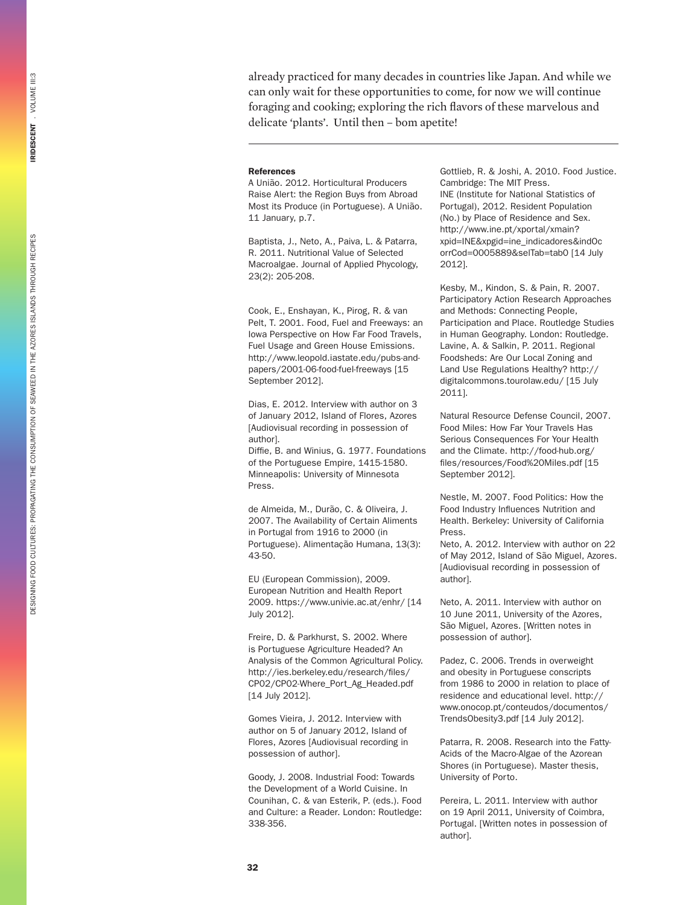already practiced for many decades in countries like Japan. And while we can only wait for these opportunities to come, for now we will continue foraging and cooking; exploring the rich flavors of these marvelous and delicate 'plants'. Until then – bom apetite!

#### References

A União. 2012. Horticultural Producers Raise Alert: the Region Buys from Abroad Most its Produce (in Portuguese). A União. 11 January, p.7.

Baptista, J., Neto, A., Paiva, L. & Patarra, R. 2011. Nutritional Value of Selected Macroalgae. Journal of Applied Phycology, 23(2): 205-208.

Cook, E., Enshayan, K., Pirog, R. & van Pelt, T. 2001. Food, Fuel and Freeways: an Iowa Perspective on How Far Food Travels, Fuel Usage and Green House Emissions. http://www.leopold.iastate.edu/pubs-andpapers/2001-06-food-fuel-freeways [15 September 2012].

Dias, E. 2012. Interview with author on 3 of January 2012, Island of Flores, Azores [Audiovisual recording in possession of author].

Diffie, B. and Winius, G. 1977. Foundations of the Portuguese Empire, 1415-1580. Minneapolis: University of Minnesota Press.

de Almeida, M., Durão, C. & Oliveira, J. 2007. The Availability of Certain Aliments in Portugal from 1916 to 2000 (in Portuguese). Alimentação Humana, 13(3): 43-50.

EU (European Commission), 2009. European Nutrition and Health Report 2009. https://www.univie.ac.at/enhr/ [14 July 2012].

Freire, D. & Parkhurst, S. 2002. Where is Portuguese Agriculture Headed? An Analysis of the Common Agricultural Policy. http://ies.berkeley.edu/research/files/ CP02/CP02-Where\_Port\_Ag\_Headed.pdf [14 July 2012].

Gomes Vieira, J. 2012. Interview with author on 5 of January 2012, Island of Flores, Azores [Audiovisual recording in possession of author].

Goody, J. 2008. Industrial Food: Towards the Development of a World Cuisine. In Counihan, C. & van Esterik, P. (eds.). Food and Culture: a Reader. London: Routledge: 338-356.

32

Gottlieb, R. & Joshi, A. 2010. Food Justice. Cambridge: The MIT Press. INE (Institute for National Statistics of Portugal), 2012. Resident Population (No.) by Place of Residence and Sex. http://www.ine.pt/xportal/xmain? xpid=INE&xpgid=ine\_indicadores&indOc orrCod=0005889&selTab=tab0 [14 July 2012].

Kesby, M., Kindon, S. & Pain, R. 2007. Participatory Action Research Approaches and Methods: Connecting People, Participation and Place. Routledge Studies in Human Geography. London: Routledge. Lavine, A. & Salkin, P. 2011. Regional Foodsheds: Are Our Local Zoning and Land Use Regulations Healthy? http:// digitalcommons.tourolaw.edu/ [15 July 2011].

Natural Resource Defense Council, 2007. Food Miles: How Far Your Travels Has Serious Consequences For Your Health and the Climate. http://food-hub.org/ files/resources/Food%20Miles.pdf [15 September 2012].

Nestle, M. 2007. Food Politics: How the Food Industry Influences Nutrition and Health. Berkeley: University of California Press.

Neto, A. 2012. Interview with author on 22 of May 2012, Island of São Miguel, Azores. [Audiovisual recording in possession of author].

Neto, A. 2011. Interview with author on 10 June 2011, University of the Azores, São Miguel, Azores. [Written notes in possession of author].

Padez, C. 2006. Trends in overweight and obesity in Portuguese conscripts from 1986 to 2000 in relation to place of residence and educational level. http:// www.onocop.pt/conteudos/documentos/ TrendsObesity3.pdf [14 July 2012].

Patarra, R. 2008. Research into the Fatty-Acids of the Macro-Algae of the Azorean Shores (in Portuguese). Master thesis, University of Porto.

Pereira, L. 2011. Interview with author on 19 April 2011, University of Coimbra, Portugal. [Written notes in possession of author].